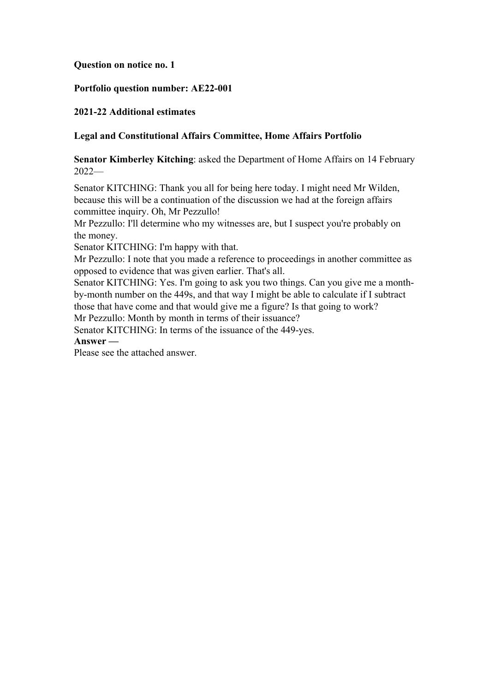## **Question on notice no. 1**

## **Portfolio question number: AE22-001**

## **2021-22 Additional estimates**

## **Legal and Constitutional Affairs Committee, Home Affairs Portfolio**

**Senator Kimberley Kitching**: asked the Department of Home Affairs on 14 February 2022—

Senator KITCHING: Thank you all for being here today. I might need Mr Wilden, because this will be a continuation of the discussion we had at the foreign affairs committee inquiry. Oh, Mr Pezzullo!

Mr Pezzullo: I'll determine who my witnesses are, but I suspect you're probably on the money.

Senator KITCHING: I'm happy with that.

Mr Pezzullo: I note that you made a reference to proceedings in another committee as opposed to evidence that was given earlier. That's all.

Senator KITCHING: Yes. I'm going to ask you two things. Can you give me a monthby-month number on the 449s, and that way I might be able to calculate if I subtract those that have come and that would give me a figure? Is that going to work?

Mr Pezzullo: Month by month in terms of their issuance?

Senator KITCHING: In terms of the issuance of the 449-yes.

**Answer —**

Please see the attached answer.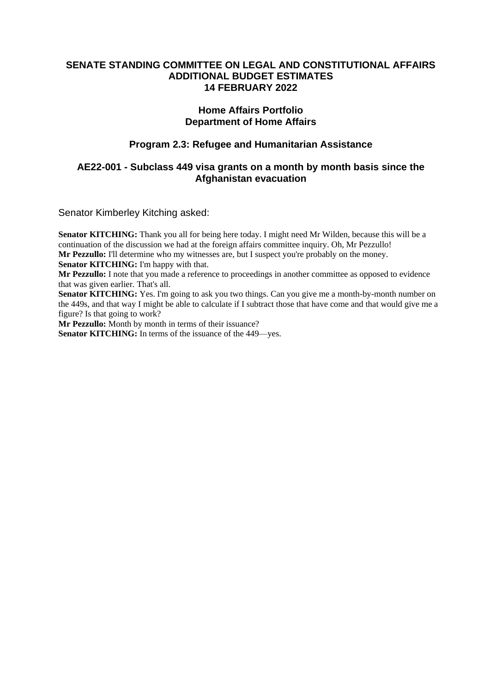#### **SENATE STANDING COMMITTEE ON LEGAL AND CONSTITUTIONAL AFFAIRS ADDITIONAL BUDGET ESTIMATES 14 FEBRUARY 2022**

#### **Home Affairs Portfolio Department of Home Affairs**

# **Program 2.3: Refugee and Humanitarian Assistance**

## **AE22-001 - Subclass 449 visa grants on a month by month basis since the Afghanistan evacuation**

Senator Kimberley Kitching asked:

**Senator KITCHING:** Thank you all for being here today. I might need Mr Wilden, because this will be a continuation of the discussion we had at the foreign affairs committee inquiry. Oh, Mr Pezzullo! **Mr Pezzullo:** I'll determine who my witnesses are, but I suspect you're probably on the money. **Senator KITCHING:** I'm happy with that. **Mr Pezzullo:** I note that you made a reference to proceedings in another committee as opposed to evidence that was given earlier. That's all. **Senator KITCHING:** Yes. I'm going to ask you two things. Can you give me a month-by-month number on the 449s, and that way I might be able to calculate if I subtract those that have come and that would give me a figure? Is that going to work? **Mr Pezzullo:** Month by month in terms of their issuance?

**Senator KITCHING:** In terms of the issuance of the 449—yes.